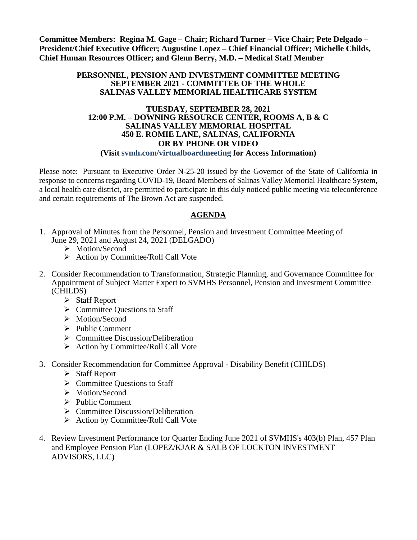**Committee Members: Regina M. Gage – Chair; Richard Turner – Vice Chair; Pete Delgado – President/Chief Executive Officer; Augustine Lopez – Chief Financial Officer; Michelle Childs, Chief Human Resources Officer; and Glenn Berry, M.D. – Medical Staff Member**

#### **PERSONNEL, PENSION AND INVESTMENT COMMITTEE MEETING SEPTEMBER 2021 - COMMITTEE OF THE WHOLE SALINAS VALLEY MEMORIAL HEALTHCARE SYSTEM**

#### **TUESDAY, SEPTEMBER 28, 2021 12:00 P.M. – DOWNING RESOURCE CENTER, ROOMS A, B & C SALINAS VALLEY MEMORIAL HOSPITAL 450 E. ROMIE LANE, SALINAS, CALIFORNIA OR BY PHONE OR VIDEO**

#### **(Visit svmh.com/virtualboardmeeting for Access Information)**

Please note: Pursuant to Executive Order N-25-20 issued by the Governor of the State of California in response to concerns regarding COVID-19, Board Members of Salinas Valley Memorial Healthcare System, a local health care district, are permitted to participate in this duly noticed public meeting via teleconference and certain requirements of The Brown Act are suspended.

#### **AGENDA**

- 1. Approval of Minutes from the Personnel, Pension and Investment Committee Meeting of June 29, 2021 and August 24, 2021 (DELGADO)
	- > Motion/Second
	- $\triangleright$  Action by Committee/Roll Call Vote
- 2. Consider Recommendation to Transformation, Strategic Planning, and Governance Committee for Appointment of Subject Matter Expert to SVMHS Personnel, Pension and Investment Committee (CHILDS)
	- Staff Report
	- $\triangleright$  Committee Questions to Staff
	- > Motion/Second
	- $\triangleright$  Public Comment
	- $\triangleright$  Committee Discussion/Deliberation
	- $\triangleright$  Action by Committee/Roll Call Vote
- 3. Consider Recommendation for Committee Approval Disability Benefit (CHILDS)
	- Staff Report
	- $\triangleright$  Committee Ouestions to Staff
	- > Motion/Second
	- $\triangleright$  Public Comment
	- $\triangleright$  Committee Discussion/Deliberation
	- $\triangleright$  Action by Committee/Roll Call Vote
- 4. Review Investment Performance for Quarter Ending June 2021 of SVMHS's 403(b) Plan, 457 Plan and Employee Pension Plan (LOPEZ/KJAR & SALB OF LOCKTON INVESTMENT ADVISORS, LLC)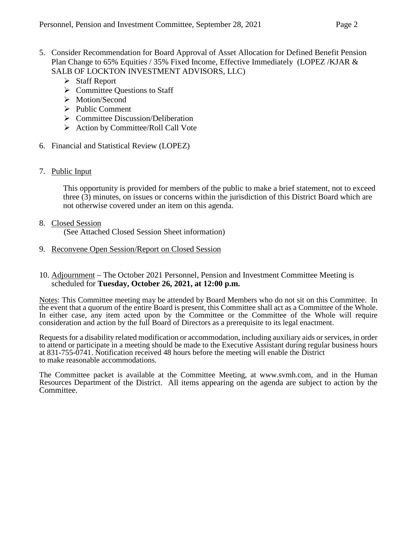- 5. Consider Recommendation for Board Approval of Asset Allocation for Defined Benefit Pension Plan Change to 65% Equities / 35% Fixed Income, Effective Immediately (LOPEZ /KJAR & SALB OF LOCKTON INVESTMENT ADVISORS, LLC)
	- $\triangleright$  Staff Report
	- $\triangleright$  Committee Questions to Staff
	- > Motion/Second
	- $\triangleright$  Public Comment
	- $\triangleright$  Committee Discussion/Deliberation
	- $\triangleright$  Action by Committee/Roll Call Vote
- 6. Financial and Statistical Review (LOPEZ)
- 7. Public Input

This opportunity is provided for members of the public to make a brief statement, not to exceed three (3) minutes, on issues or concerns within the jurisdiction of this District Board which are not otherwise covered under an item on this agenda.

- 8. Closed Session (See Attached Closed Session Sheet information)
- 9. Reconvene Open Session/Report on Closed Session
- 10. Adjournment The October 2021 Personnel, Pension and Investment Committee Meeting is scheduled for **Tuesday, October 26, 2021, at 12:00 p.m.**

Notes: This Committee meeting may be attended by Board Members who do not sit on this Committee. In the event that a quorum of the entire Board is present, this Committee shall act as a Committee of the Whole. In either case, any item acted upon by the Committee or the Committee of the Whole will require consideration and action by the full Board of Directors as a prerequisite to its legal enactment.

Requests for a disability related modification or accommodation, including auxiliary aids or services, in order to attend or participate in a meeting should be made to the Executive Assistant during regular business hours at 831-755-0741. Notification received 48 hours before the meeting will enable the District to make reasonable accommodations.

The Committee packet is available at the Committee Meeting, at [www.svmh.com,](http://www.svmh.com/) and in the Human Resources Department of the District. All items appearing on the agenda are subject to action by the Committee.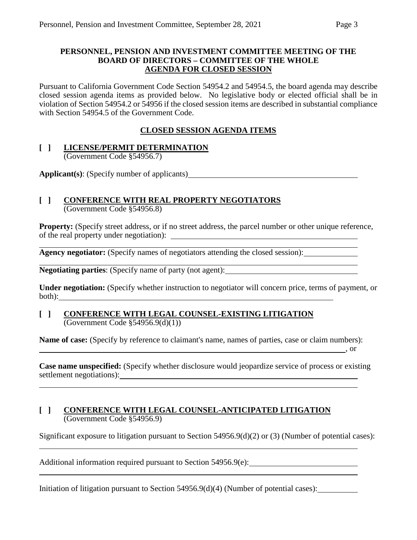#### **PERSONNEL, PENSION AND INVESTMENT COMMITTEE MEETING OF THE BOARD OF DIRECTORS – COMMITTEE OF THE WHOLE AGENDA FOR CLOSED SESSION**

Pursuant to California Government Code Section 54954.2 and 54954.5, the board agenda may describe closed session agenda items as provided below. No legislative body or elected official shall be in violation of Section 54954.2 or 54956 if the closed session items are described in substantial compliance with Section 54954.5 of the Government Code.

### **CLOSED SESSION AGENDA ITEMS**

## **[ ] LICENSE/PERMIT DETERMINATION**

(Government Code §54956.7)

**Applicant(s)**: (Specify number of applicants)

# **[ ] CONFERENCE WITH REAL PROPERTY NEGOTIATORS**

(Government Code §54956.8)

**Property:** (Specify street address, or if no street address, the parcel number or other unique reference, of the real property under negotiation):

**Agency negotiator:** (Specify names of negotiators attending the closed session):

**Negotiating parties**: (Specify name of party (not agent):

**Under negotiation:** (Specify whether instruction to negotiator will concern price, terms of payment, or both):

#### **[ ] CONFERENCE WITH LEGAL COUNSEL-EXISTING LITIGATION** (Government Code §54956.9(d)(1))

**Name of case:** (Specify by reference to claimant's name, names of parties, case or claim numbers): , or  $\overline{\phantom{a}}$  , or

**Case name unspecified:** (Specify whether disclosure would jeopardize service of process or existing settlement negotiations):

#### **[ ] CONFERENCE WITH LEGAL COUNSEL-ANTICIPATED LITIGATION** (Government Code §54956.9)

Significant exposure to litigation pursuant to Section 54956.9(d)(2) or (3) (Number of potential cases):

Additional information required pursuant to Section 54956.9(e):

Initiation of litigation pursuant to Section 54956.9(d)(4) (Number of potential cases):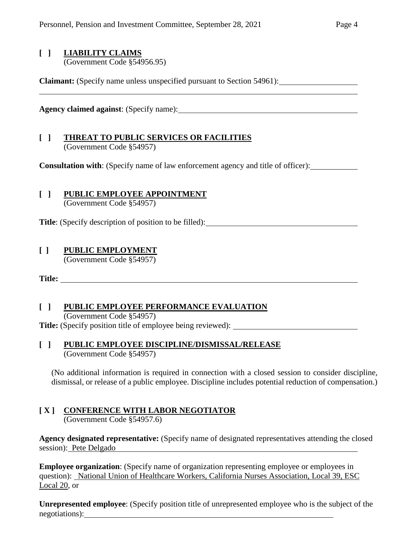# **[ ] LIABILITY CLAIMS**

(Government Code §54956.95)

**Claimant:** (Specify name unless unspecified pursuant to Section 54961):

**Agency claimed against**: (Specify name):

#### **[ ] THREAT TO PUBLIC SERVICES OR FACILITIES** (Government Code §54957)

**Consultation with**: (Specify name of law enforcement agency and title of officer):

## **[ ] PUBLIC EMPLOYEE APPOINTMENT**

(Government Code §54957)

**Title**: (Specify description of position to be filled):

#### **[ ] PUBLIC EMPLOYMENT**

(Government Code §54957)

**Title:** 

## **[ ] PUBLIC EMPLOYEE PERFORMANCE EVALUATION**

(Government Code §54957)

**Title:** (Specify position title of employee being reviewed):

#### **[ ] PUBLIC EMPLOYEE DISCIPLINE/DISMISSAL/RELEASE** (Government Code §54957)

(No additional information is required in connection with a closed session to consider discipline, dismissal, or release of a public employee. Discipline includes potential reduction of compensation.)

# **[ X ] CONFERENCE WITH LABOR NEGOTIATOR**

(Government Code §54957.6)

**Agency designated representative:** (Specify name of designated representatives attending the closed session): Pete Delgado

**Employee organization**: (Specify name of organization representing employee or employees in question): National Union of Healthcare Workers, California Nurses Association, Local 39, ESC Local 20, or

**Unrepresented employee**: (Specify position title of unrepresented employee who is the subject of the negotiations):